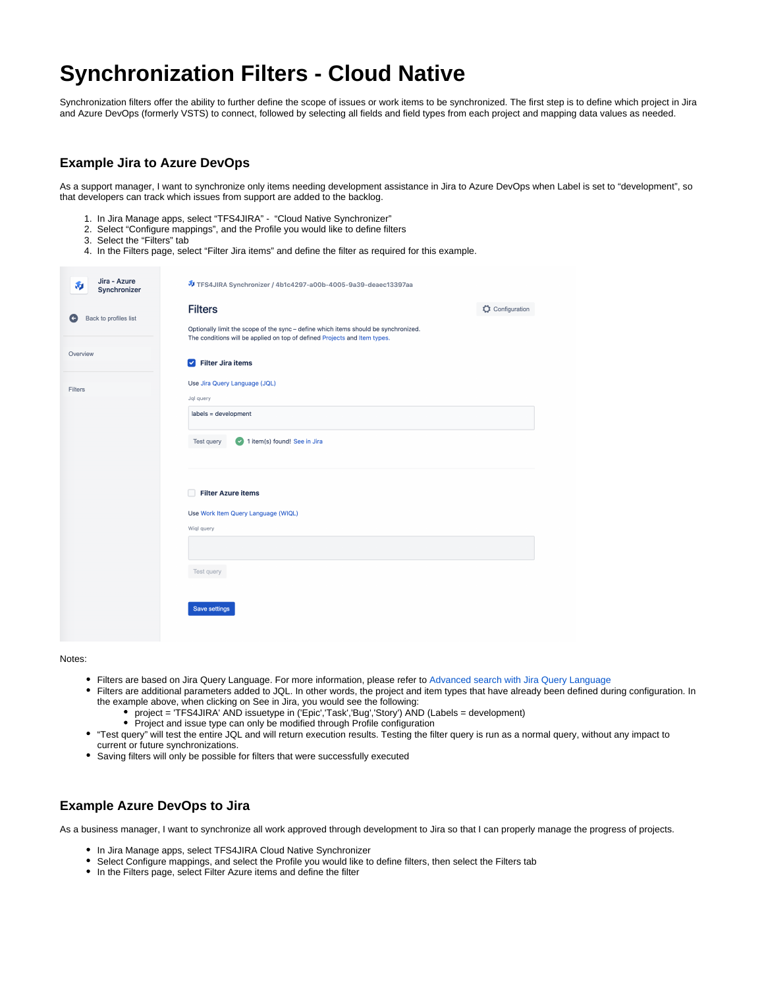## **Synchronization Filters - Cloud Native**

Synchronization filters offer the ability to further define the scope of issues or work items to be synchronized. The first step is to define which project in Jira and Azure DevOps (formerly VSTS) to connect, followed by selecting all fields and field types from each project and mapping data values as needed.

## **Example Jira to Azure DevOps**

As a support manager, I want to synchronize only items needing development assistance in Jira to Azure DevOps when Label is set to "development", so that developers can track which issues from support are added to the backlog.

- 1. In Jira Manage apps, select "TFS4JIRA" "Cloud Native Synchronizer"
- 2. Select "Configure mappings", and the Profile you would like to define filters
- 3. Select the "Filters" tab
- 4. In the Filters page, select "Filter Jira items" and define the filter as required for this example.

| Jira - Azure<br>和<br>Synchronizer | TFS4JIRA Synchronizer / 4b1c4297-a00b-4005-9a39-deaec13397aa                                                                                                     |
|-----------------------------------|------------------------------------------------------------------------------------------------------------------------------------------------------------------|
|                                   | <b>Filters</b><br>Configuration                                                                                                                                  |
| Back to profiles list<br>G        | Optionally limit the scope of the sync - define which items should be synchronized.<br>The conditions will be applied on top of defined Projects and Item types. |
| Overview                          | Filter Jira items                                                                                                                                                |
| Filters                           | Use Jira Query Language (JQL)                                                                                                                                    |
|                                   | Jql query                                                                                                                                                        |
|                                   | labels = development                                                                                                                                             |
|                                   | <b>Filter Azure items</b><br>п                                                                                                                                   |
|                                   | Use Work Item Query Language (WIQL)                                                                                                                              |
|                                   | Wigl query                                                                                                                                                       |
|                                   |                                                                                                                                                                  |
|                                   | Test query                                                                                                                                                       |
|                                   | Save settings                                                                                                                                                    |

Notes:

- Filters are based on Jira Query Language. For more information, please refer to [Advanced search with Jira Query Language](https://support.atlassian.com/jira-software-cloud/docs/use-advanced-search-with-jira-query-language-jql/)
- Filters are additional parameters added to JQL. In other words, the project and item types that have already been defined during configuration. In the example above, when clicking on See in Jira, you would see the following:
	- project = 'TFS4JIRA' AND issuetype in ('Epic','Task','Bug','Story') AND (Labels = development)
	- Project and issue type can only be modified through Profile configuration
- "Test query" will test the entire JQL and will return execution results. Testing the filter query is run as a normal query, without any impact to current or future synchronizations.
- Saving filters will only be possible for filters that were successfully executed

## **Example Azure DevOps to Jira**

As a business manager, I want to synchronize all work approved through development to Jira so that I can properly manage the progress of projects.

- In Jira Manage apps, select TFS4JIRA Cloud Native Synchronizer
- Select Configure mappings, and select the Profile you would like to define filters, then select the Filters tab
- In the Filters page, select Filter Azure items and define the filter